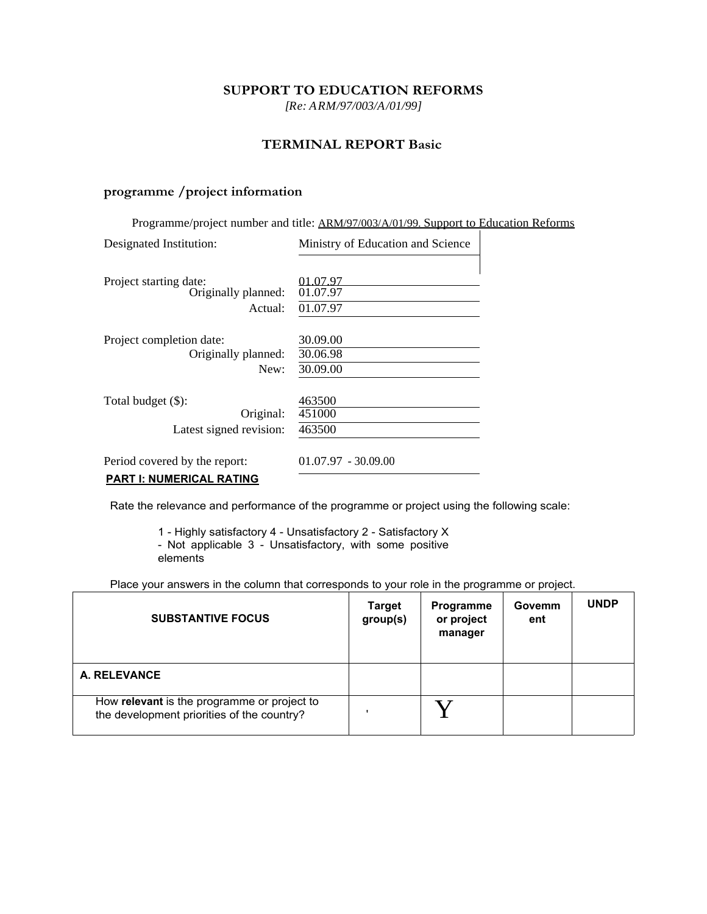### **SUPPORT TO EDUCATION REFORMS**

*[Re: ARM/97/003/A/01/99]*

### **TERMINAL REPORT Basic**

# **programme /project information**

|                                                                  | Programme/project number and title: ARM/97/003/A/01/99. Support to Education Reforms |  |
|------------------------------------------------------------------|--------------------------------------------------------------------------------------|--|
| Designated Institution:                                          | Ministry of Education and Science                                                    |  |
| Project starting date:<br>Originally planned:<br>Actual:         | 01.07.97<br>01.07.97<br>01.07.97                                                     |  |
| Project completion date:<br>Originally planned:<br>New:          | 30.09.00<br>30.06.98<br>30.09.00                                                     |  |
| Total budget (\$):<br>Original:<br>Latest signed revision:       | 463500<br>451000<br>463500                                                           |  |
| Period covered by the report:<br><b>PART I: NUMERICAL RATING</b> | $01.07.97 - 30.09.00$                                                                |  |

Rate the relevance and performance of the programme or project using the following scale:

1 - Highly satisfactory 4 - Unsatisfactory 2 - Satisfactory X

- Not applicable 3 - Unsatisfactory, with some positive

elements

Place your answers in the column that corresponds to your role in the programme or project.

| <b>SUBSTANTIVE FOCUS</b>                                                                  | <b>Target</b><br>group(s) | Programme<br>or project<br>manager | Govemm<br>ent | <b>UNDP</b> |
|-------------------------------------------------------------------------------------------|---------------------------|------------------------------------|---------------|-------------|
| A. RELEVANCE                                                                              |                           |                                    |               |             |
| How relevant is the programme or project to<br>the development priorities of the country? |                           |                                    |               |             |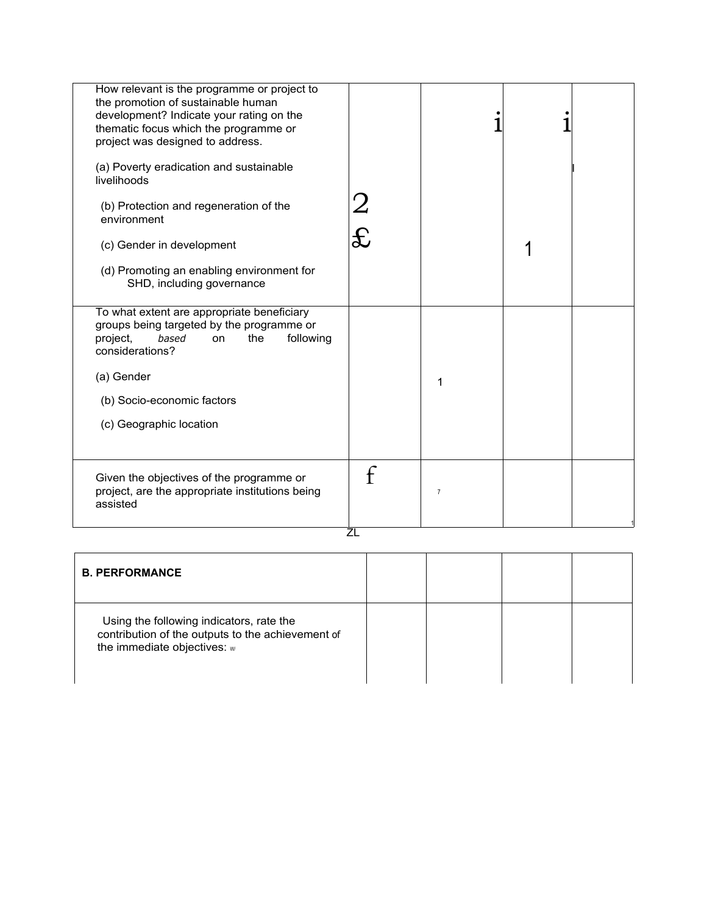| How relevant is the programme or project to                                                             |               |                |  |
|---------------------------------------------------------------------------------------------------------|---------------|----------------|--|
| the promotion of sustainable human                                                                      |               |                |  |
| development? Indicate your rating on the<br>thematic focus which the programme or                       |               |                |  |
| project was designed to address.                                                                        |               |                |  |
|                                                                                                         |               |                |  |
| (a) Poverty eradication and sustainable<br>livelihoods                                                  |               |                |  |
| (b) Protection and regeneration of the<br>environment                                                   | $\frac{2}{x}$ |                |  |
| (c) Gender in development                                                                               |               |                |  |
| (d) Promoting an enabling environment for<br>SHD, including governance                                  |               |                |  |
| To what extent are appropriate beneficiary                                                              |               |                |  |
| groups being targeted by the programme or<br>based<br>project,<br>the<br>following<br>on                |               |                |  |
| considerations?                                                                                         |               |                |  |
| (a) Gender                                                                                              |               | 1              |  |
| (b) Socio-economic factors                                                                              |               |                |  |
|                                                                                                         |               |                |  |
| (c) Geographic location                                                                                 |               |                |  |
|                                                                                                         |               |                |  |
| Given the objectives of the programme or<br>project, are the appropriate institutions being<br>assisted | $\mathsf{f}$  | $\overline{7}$ |  |
|                                                                                                         |               |                |  |

 $\frac{1}{2L}$ 

| <b>B. PERFORMANCE</b>                                                                                                        |  |  |
|------------------------------------------------------------------------------------------------------------------------------|--|--|
| Using the following indicators, rate the<br>contribution of the outputs to the achievement of<br>the immediate objectives: w |  |  |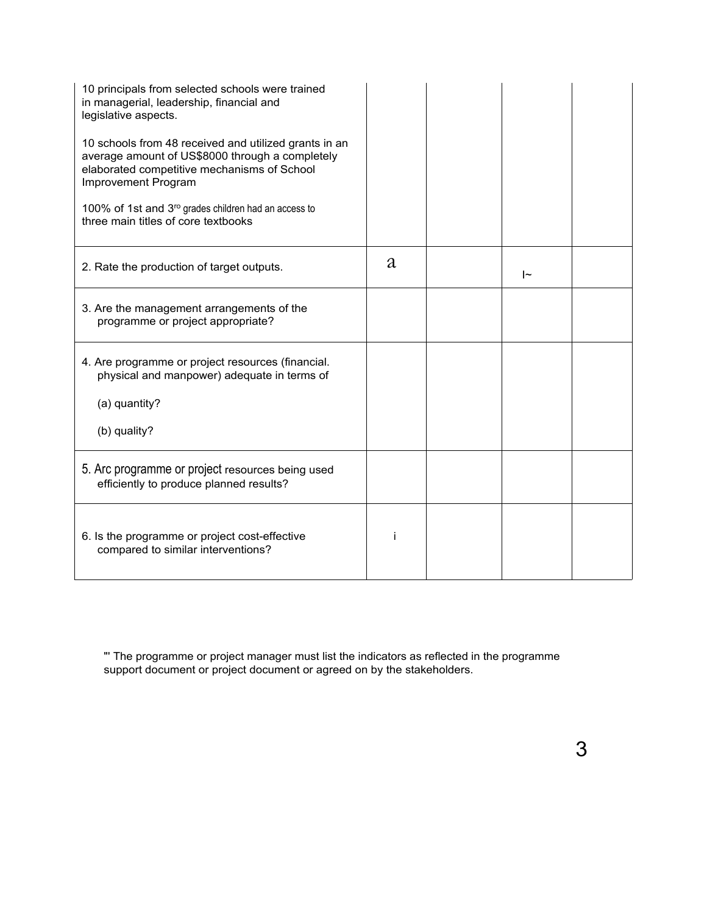| 10 principals from selected schools were trained<br>in managerial, leadership, financial and<br>legislative aspects.<br>10 schools from 48 received and utilized grants in an<br>average amount of US\$8000 through a completely<br>elaborated competitive mechanisms of School<br>Improvement Program<br>100% of 1st and 3 <sup>ro</sup> grades children had an access to<br>three main titles of core textbooks |    |    |  |
|-------------------------------------------------------------------------------------------------------------------------------------------------------------------------------------------------------------------------------------------------------------------------------------------------------------------------------------------------------------------------------------------------------------------|----|----|--|
| 2. Rate the production of target outputs.                                                                                                                                                                                                                                                                                                                                                                         | a  | ŀ∼ |  |
| 3. Are the management arrangements of the<br>programme or project appropriate?                                                                                                                                                                                                                                                                                                                                    |    |    |  |
| 4. Are programme or project resources (financial.<br>physical and manpower) adequate in terms of<br>(a) quantity?<br>(b) quality?                                                                                                                                                                                                                                                                                 |    |    |  |
| 5. Arc programme or project resources being used<br>efficiently to produce planned results?                                                                                                                                                                                                                                                                                                                       |    |    |  |
| 6. Is the programme or project cost-effective<br>compared to similar interventions?                                                                                                                                                                                                                                                                                                                               | i. |    |  |

"' The programme or project manager must list the indicators as reflected in the programme support document or project document or agreed on by the stakeholders.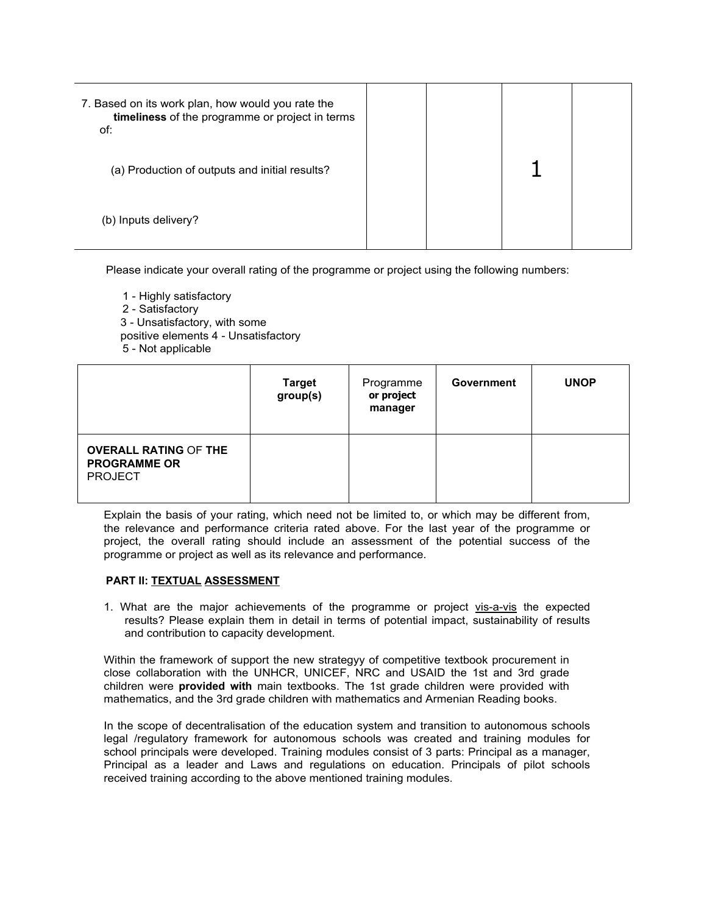| 7. Based on its work plan, how would you rate the<br>timeliness of the programme or project in terms<br>of: |  |  |
|-------------------------------------------------------------------------------------------------------------|--|--|
| (a) Production of outputs and initial results?                                                              |  |  |
| (b) Inputs delivery?                                                                                        |  |  |

Please indicate your overall rating of the programme or project using the following numbers:

1 - Highly satisfactory 2 - Satisfactory 3 - Unsatisfactory, with some positive elements 4 - Unsatisfactory 5 - Not applicable

|                                                                       | <b>Target</b><br>group(s) | Programme<br>or project<br>manager | <b>Government</b> | <b>UNOP</b> |
|-----------------------------------------------------------------------|---------------------------|------------------------------------|-------------------|-------------|
| <b>OVERALL RATING OF THE</b><br><b>PROGRAMME OR</b><br><b>PROJECT</b> |                           |                                    |                   |             |

Explain the basis of your rating, which need not be limited to, or which may be different from, the relevance and performance criteria rated above. For the last year of the programme or project, the overall rating should include an assessment of the potential success of the programme or project as well as its relevance and performance.

#### **PART II: TEXTUAL ASSESSMENT**

1. What are the major achievements of the programme or project vis-a-vis the expected results? Please explain them in detail in terms of potential impact, sustainability of results and contribution to capacity development.

Within the framework of support the new strategyy of competitive textbook procurement in close collaboration with the UNHCR, UNICEF, NRC and USAID the 1st and 3rd grade children were **provided with** main textbooks. The 1st grade children were provided with mathematics, and the 3rd grade children with mathematics and Armenian Reading books.

In the scope of decentralisation of the education system and transition to autonomous schools legal /regulatory framework for autonomous schools was created and training modules for school principals were developed. Training modules consist of 3 parts: Principal as a manager, Principal as a leader and Laws and regulations on education. Principals of pilot schools received training according to the above mentioned training modules.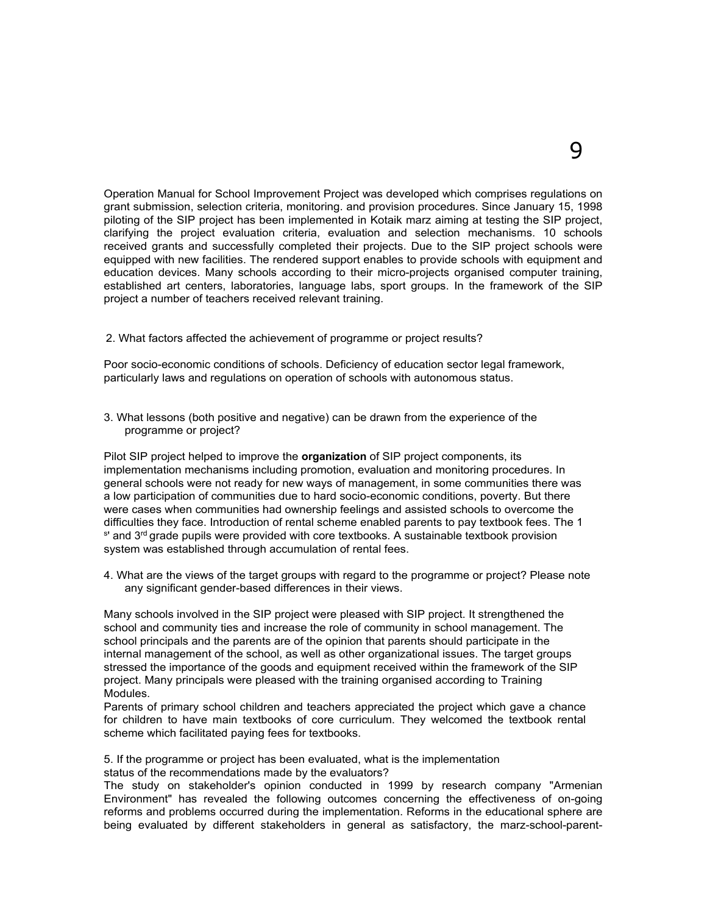Operation Manual for School Improvement Project was developed which comprises regulations on grant submission, selection criteria, monitoring. and provision procedures. Since January 15, 1998 piloting of the SIP project has been implemented in Kotaik marz aiming at testing the SIP project, clarifying the project evaluation criteria, evaluation and selection mechanisms. 10 schools received grants and successfully completed their projects. Due to the SIP project schools were equipped with new facilities. The rendered support enables to provide schools with equipment and education devices. Many schools according to their micro-projects organised computer training, established art centers, laboratories, language labs, sport groups. In the framework of the SIP project a number of teachers received relevant training.

2. What factors affected the achievement of programme or project results?

Poor socio-economic conditions of schools. Deficiency of education sector legal framework, particularly laws and regulations on operation of schools with autonomous status.

3. What lessons (both positive and negative) can be drawn from the experience of the programme or project?

Pilot SIP project helped to improve the **organization** of SIP project components, its implementation mechanisms including promotion, evaluation and monitoring procedures. In general schools were not ready for new ways of management, in some communities there was a low participation of communities due to hard socio-economic conditions, poverty. But there were cases when communities had ownership feelings and assisted schools to overcome the difficulties they face. Introduction of rental scheme enabled parents to pay textbook fees. The 1 <sup>s</sup>' and 3<sup>rd</sup> grade pupils were provided with core textbooks. A sustainable textbook provision system was established through accumulation of rental fees.

4. What are the views of the target groups with regard to the programme or project? Please note any significant gender-based differences in their views.

Many schools involved in the SIP project were pleased with SIP project. It strengthened the school and community ties and increase the role of community in school management. The school principals and the parents are of the opinion that parents should participate in the internal management of the school, as well as other organizational issues. The target groups stressed the importance of the goods and equipment received within the framework of the SIP project. Many principals were pleased with the training organised according to Training Modules.

Parents of primary school children and teachers appreciated the project which gave a chance for children to have main textbooks of core curriculum. They welcomed the textbook rental scheme which facilitated paying fees for textbooks.

5. If the programme or project has been evaluated, what is the implementation status of the recommendations made by the evaluators?

The study on stakeholder's opinion conducted in 1999 by research company "Armenian Environment" has revealed the following outcomes concerning the effectiveness of on-going reforms and problems occurred during the implementation. Reforms in the educational sphere are being evaluated by different stakeholders in general as satisfactory, the marz-school-parent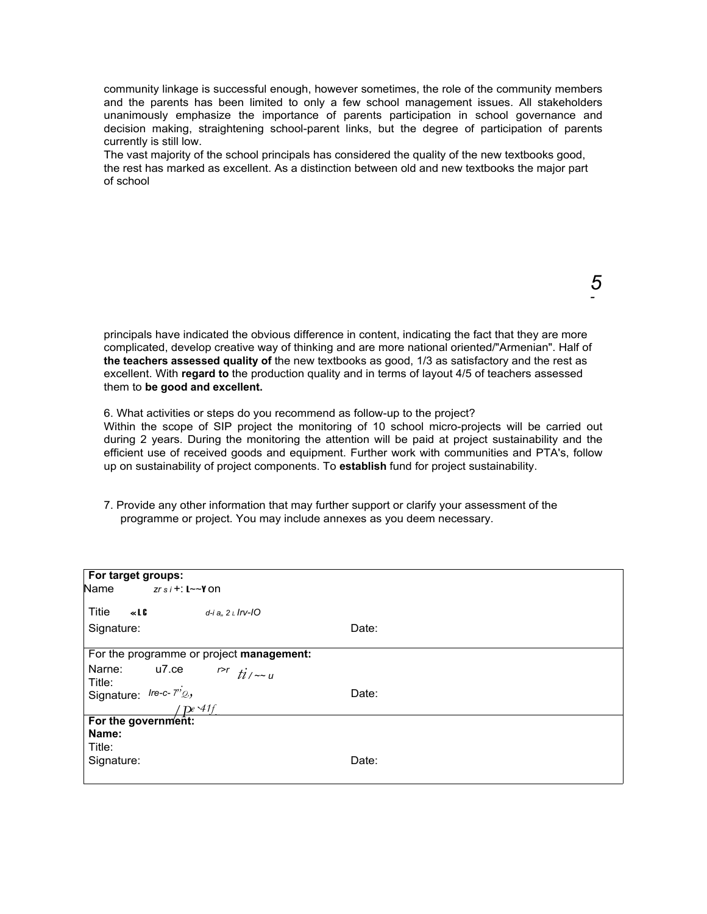community linkage is successful enough, however sometimes, the role of the community members and the parents has been limited to only a few school management issues. All stakeholders unanimously emphasize the importance of parents participation in school governance and decision making, straightening school-parent links, but the degree of participation of parents currently is still low.

The vast majority of the school principals has considered the quality of the new textbooks good, the rest has marked as excellent. As a distinction between old and new textbooks the major part of school

*5 -*

principals have indicated the obvious difference in content, indicating the fact that they are more complicated, develop creative way of thinking and are more national oriented/"Armenian". Half of **the teachers assessed quality of** the new textbooks as good, 1/3 as satisfactory and the rest as excellent. With **regard to** the production quality and in terms of layout 4/5 of teachers assessed them to **be good and excellent.**

6. What activities or steps do you recommend as follow-up to the project? Within the scope of SIP project the monitoring of 10 school micro-projects will be carried out during 2 years. During the monitoring the attention will be paid at project sustainability and the efficient use of received goods and equipment. Further work with communities and PTA's, follow up on sustainability of project components. To **establish** fund for project sustainability.

7. Provide any other information that may further support or clarify your assessment of the programme or project. You may include annexes as you deem necessary.

| For target groups:                       |       |
|------------------------------------------|-------|
| Name<br>$zrs + 1 - Y$ on                 |       |
| Titie<br>≪LC<br>$d$ -i a., 2 $L$ Irv-IO  |       |
| Signature:                               | Date: |
|                                          |       |
| For the programme or project management: |       |
| Narne: u7.ce<br>$r>r$ $ti$ $\sim u$      |       |
| Title:                                   |       |
| Signature: Ire-c-7'2,                    | Date: |
| $\frac{p_e \times 1}{p_e + p_e}$         |       |
|                                          |       |
| Name:                                    |       |
| Title:                                   |       |
| Signature:                               | Date: |
|                                          |       |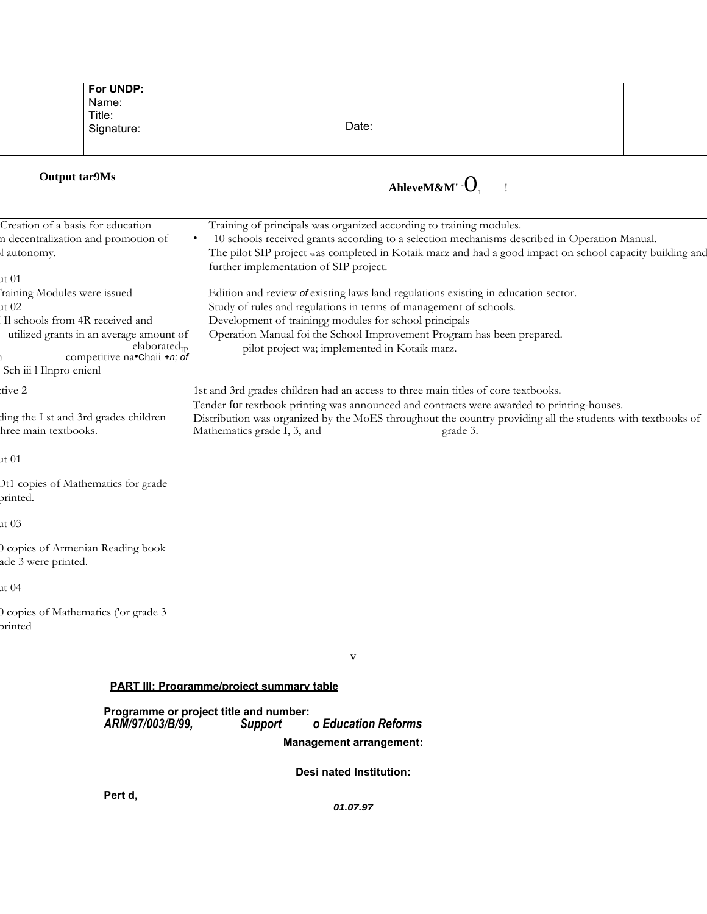| For UNDP:<br>Name:<br>Title:<br>Signature:                                                                                                                                                                                                                                                                   | Date:                                                                                                                                                                                                                                                                                                                                                                                                                                                                                                                                                                                                                                                                                   |  |
|--------------------------------------------------------------------------------------------------------------------------------------------------------------------------------------------------------------------------------------------------------------------------------------------------------------|-----------------------------------------------------------------------------------------------------------------------------------------------------------------------------------------------------------------------------------------------------------------------------------------------------------------------------------------------------------------------------------------------------------------------------------------------------------------------------------------------------------------------------------------------------------------------------------------------------------------------------------------------------------------------------------------|--|
| <b>Output tar9Ms</b>                                                                                                                                                                                                                                                                                         | AhleveM&M' $\cdot$ O <sub>1</sub> !                                                                                                                                                                                                                                                                                                                                                                                                                                                                                                                                                                                                                                                     |  |
| Creation of a basis for education<br>n decentralization and promotion of<br>l autonomy.<br>1t 01<br>raining Modules were issued<br>at 02<br>Il schools from 4R received and<br>utilized grants in an average amount of<br>elaborated <sub>IP</sub><br>competitive na Chaii +n; of<br>Sch iii l Ilnpro enienl | Training of principals was organized according to training modules.<br>10 schools received grants according to a selection mechanisms described in Operation Manual.<br>$\bullet$<br>The pilot SIP project was completed in Kotaik marz and had a good impact on school capacity building and<br>further implementation of SIP project.<br>Edition and review of existing laws land regulations existing in education sector.<br>Study of rules and regulations in terms of management of schools.<br>Development of trainingg modules for school principals<br>Operation Manual foi the School Improvement Program has been prepared.<br>pilot project wa; implemented in Kotaik marz. |  |
| tive 2<br>ding the I st and 3rd grades children<br>hree main textbooks.                                                                                                                                                                                                                                      | 1st and 3rd grades children had an access to three main titles of core textbooks.<br>Tender for textbook printing was announced and contracts were awarded to printing-houses.<br>Distribution was organized by the MoES throughout the country providing all the students with textbooks of<br>Mathematics grade I, 3, and<br>grade 3.                                                                                                                                                                                                                                                                                                                                                 |  |
| 1t 01<br>Ot1 copies of Mathematics for grade<br>orinted.<br>at 03<br>D copies of Armenian Reading book<br>ade 3 were printed.<br>at 04                                                                                                                                                                       |                                                                                                                                                                                                                                                                                                                                                                                                                                                                                                                                                                                                                                                                                         |  |
| copies of Mathematics ('or grade 3<br>orinted                                                                                                                                                                                                                                                                | V                                                                                                                                                                                                                                                                                                                                                                                                                                                                                                                                                                                                                                                                                       |  |

## **PART III: Programme/project summary table**

**Programme or project title and number:** *ARM/97/003/B/99, Support o Education Reforms* **Management arrangement:**

**Desi nated Institution:**

**Pert d,**

**01.07.97**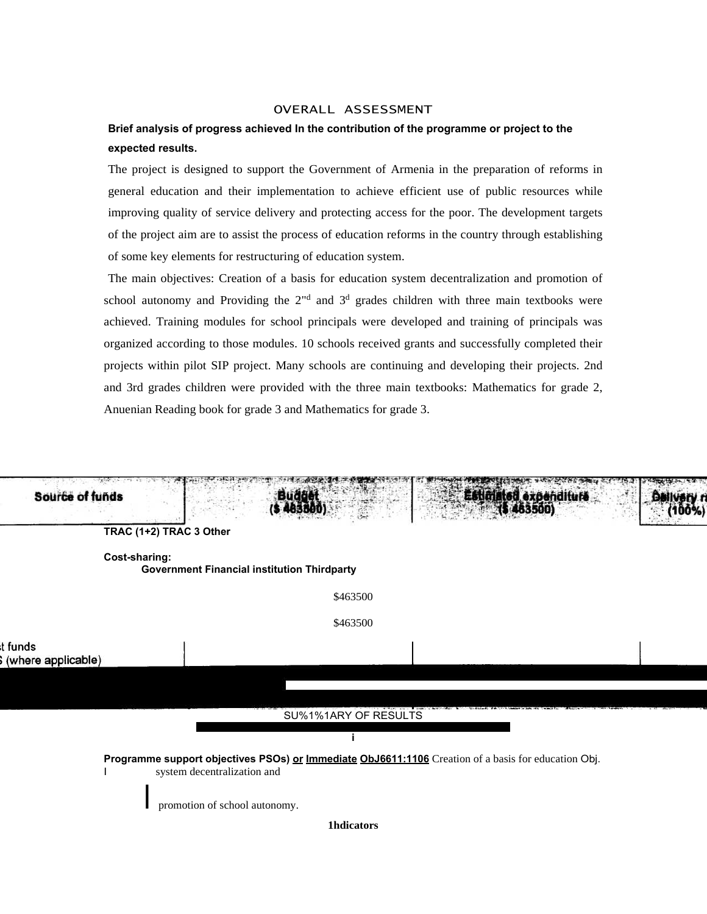#### OVERALL ASSESSMENT

# **Brief analysis of progress achieved In the contribution of the programme or project to the expected results.**

The project is designed to support the Government of Armenia in the preparation of reforms in general education and their implementation to achieve efficient use of public resources while improving quality of service delivery and protecting access for the poor. The development targets of the project aim are to assist the process of education reforms in the country through establishing of some key elements for restructuring of education system.

The main objectives: Creation of a basis for education system decentralization and promotion of school autonomy and Providing the  $2<sup>nd</sup>$  and  $3<sup>d</sup>$  grades children with three main textbooks were achieved. Training modules for school principals were developed and training of principals was organized according to those modules. 10 schools received grants and successfully completed their projects within pilot SIP project. Many schools are continuing and developing their projects. 2nd and 3rd grades children were provided with the three main textbooks: Mathematics for grade 2, Anuenian Reading book for grade 3 and Mathematics for grade 3.